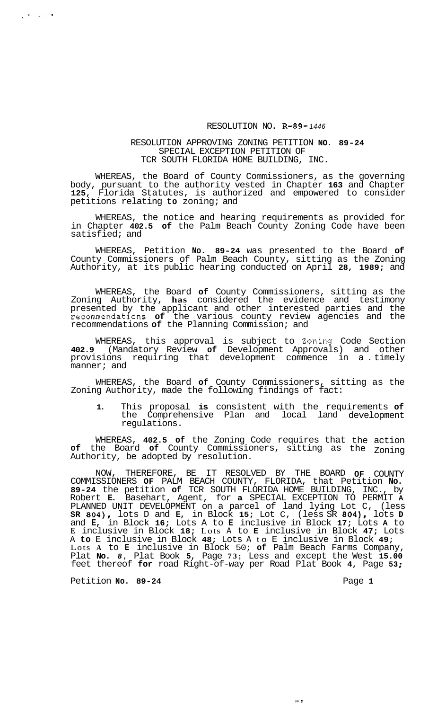## RESOLUTION NO. **R-89-** *1446*

## RESOLUTION APPROVING ZONING PETITION **NO. 89-24**  SPECIAL EXCEPTION PETITION OF TCR SOUTH FLORIDA HOME BUILDING, INC.

WHEREAS, the Board of County Commissioners, as the governing body, pursuant to the authority vested in Chapter **163** and Chapter **125,** Florida Statutes, is authorized and empowered to consider petitions relating **to** zoning; and

WHEREAS, the notice and hearing requirements as provided for in Chapter **402.5 of** the Palm Beach County Zoning Code have been satisfied; and

WHEREAS, Petition **No. 89-24** was presented to the Board **of**  County Commissioners of Palm Beach County, sitting as the Zoning Authority, at its public hearing conducted on April **28, 1989;** and

WHEREAS, the Board **of** County Commissioners, sitting as the Zoning Authority, **has** considered the evidence and testimony presented by the applicant and other interested parties and the recommendations **of** the various county review agencies and the recommendations **of** the Planning Commission; and

WHEREAS, this approval is subject to Zoning Code Section **402.9** (Mandatory Review **of** Development Approvals) and other provisions requiring that development commence in a. timely manner; and

WHEREAS, the Board **of** County Commissioners, sitting as the Zoning Authority, made the following findings of fact:

**1.** This proposal **is** consistent with the requirements **of**  the Comprehensive Plan and local land development regulations.

WHEREAS, **402.5 of** the Zoning Code requires that **of** the Board **of** County Commissioners, sitting as Authority, be adopted by resolution. the action the Zoning

NOW, THEREFORE, BE IT RESOLVED BY THE BOARD **OF** COUNTY COMMISSIONERS **OF** PALM BEACH COUNTY, FLORIDA, that Petition **No. 89-24** the petition **of** TCR SOUTH FLORIDA HOME BUILDING, INC., by Robert **E.** Basehart, Agent, for **a** SPECIAL EXCEPTION TO PERMIT **<sup>A</sup>** PLANNED UNIT DEVELOPMENT on a parcel of land lying Lot C, (less **SR 804),** lots D and **E,** in Block **15;** Lot C, (less SR **804),** lots **D**  and **E,** in Block **16;** Lots A to **E** inclusive in Block **17;** Lots **A** to **E** inclusive in Block **18;** Lots A to **E** inclusive in Block **47;** Lots A **to** E inclusive in Block **48;** Lots A to E inclusive in Block **49;**  Lots **A** to **E** inclusive in Block 50; **of** Palm Beach Farms Company, Plat **No.** *8,* Plat Book **5,** Page **73;** Less and except the West **15.00**  feet thereof **for** road Right-of-way per Road Plat Book **4,** Page **53** ;

Petition **No. 89-24** Page 1

 $\sqrt{2\pi}$  ,  $\sqrt{2\pi}$ 

 $\mathbb{Z}^{\mathbb{Z}}$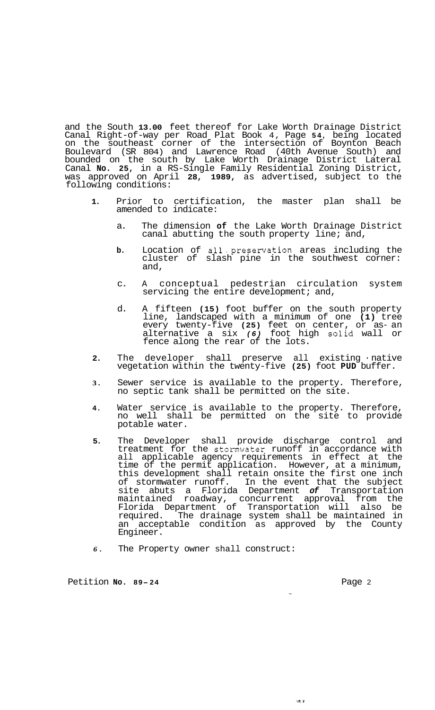and the South **13.00** feet thereof for Lake Worth Drainage District Canal Right-of-way per Road Plat Book 4, Page **54,** being located on the southeast corner of the intersection of Boynton Beach Boulevard (SR 804) and Lawrence Road (40th Avenue South) and bounded on the south by Lake Worth Drainage District Lateral Canal **No. 25,** in a RS-Single Family Residential Zoning District, was approved on April **28, 1989,** as advertised, subject to the following conditions:

- **1.** Prior to certification, the master plan shall be amended to indicate:
	- a. The dimension **of** the Lake Worth Drainage District canal abutting the south property line; and,
	- **b.** Location of all.preservation areas including the cluster of slash pine in the southwest corner: and,
	- c. A conceptual pedestrian circulation system servicing the entire development; and,
	- d. A fifteen **(15)** foot buffer on the south property line, landscaped with a minimum of one **(1)** tree every twenty-five **(25)** feet on center, or as- an alternative a six *(6)* foot high solid wall or fence along the rear of the lots.
- **2.** The developer shall preserve all existing native vegetation within the twenty-five **(25)** foot **PUD** buffer.
- **3.** Sewer service is available to the property. Therefore, no septic tank shall be permitted on the site.
- **4.** Water service is available to the property. Therefore, no well shall be permitted on the site to provide potable water.
- **5.** The Developer shall provide discharge control and treatment for the stomwater runoff in accordance with all applicable agency requirements in effect at the time of the permit application. However, at a minimum, this development shall retain onsite the first one inch of stormwater runoff. In the event that the subject site abuts a Florida Department *of* Transportation maintained roadway, concurrent approval from the Florida Department of Transportation will also be required. The drainage system shall be maintained in an acceptable condition as approved by the County Engineer.
- *6.* The Property owner shall construct:

Petition **No. 89-24** Page 2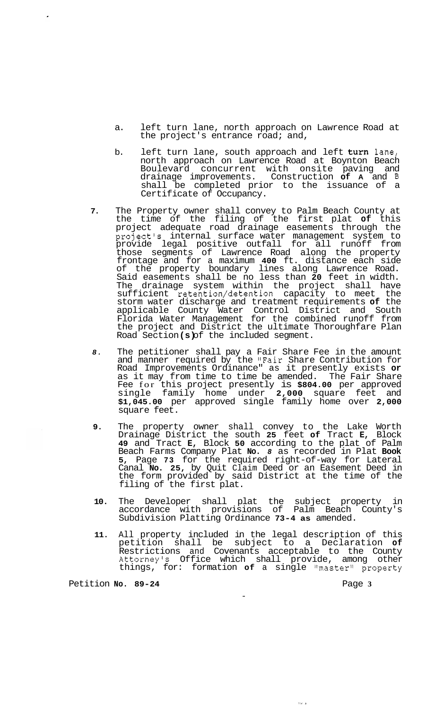- a. left turn lane, north approach on Lawrence Road at the project's entrance road; and,
- b. left turn lane, south approach and left **turn** lane, north approach on Lawrence Road at Boynton Beach Boulevard concurrent with onsite paving and drainage improvements. Construction **of A** and **B**  shall be completed prior to the issuance of a Certificate of Occupancy.
- **7.** The Property owner shall convey to Palm Beach County at the time of the filing of the first plat **of** this project adequate road drainage easements through the project's internal surface water management system to provide legal positive outfall for all runoff from those segments of Lawrence Road along the property frontage and for a maximum **400** ft. distance each side of the property boundary lines along Lawrence Road. Said easements shall be no less than **20** feet in width. The drainage system within the project shall have sufficient retention/detention capacity to meet the storm water discharge and treatment requirements **of** the applicable County Water Control District and South Florida Water Management for the combined runoff from the project and District the ultimate Thoroughfare Plan Road Section **(s)** of the included segment.
- *8.* The petitioner shall pay a Fair Share Fee in the amount and manner required by the "Fair Share Contribution for Road Improvements Ordinance" as it presently exists **or**  as it may from time to time be amended. The Fair Share Fee for this project presently is **\$804.00** per approved single family home under **2,000** square feet and **\$1,045.00** per approved single family home over **2,000**  square feet.
- **9.** The property owner shall convey to the Lake Worth Drainage District the south **25** feet **of** Tract **E,** Block **49** and Tract **E,** Block **50** according to the plat of Palm Beach Farms Company Plat **No.** *8* as recorded in Plat **Book 5,** Page **73** for the required right-of-way for Lateral Canal **No. 25,** by Quit Claim Deed or an Easement Deed in the form provided by said District at the time of the filing of the first plat.
- **10.** The Developer shall plat the subject property in accordance with provisions of Palm Beach County's Subdivision Platting Ordinance **73-4 as** amended.
- **11.** All property included in the legal description of this petition shall be subject to a Declaration **of**  Restrictions and Covenants acceptable to the County Attorney's Office which shall provide, among other things, for: formation of a single "master" property

Petition **No. 89-24** Page 3